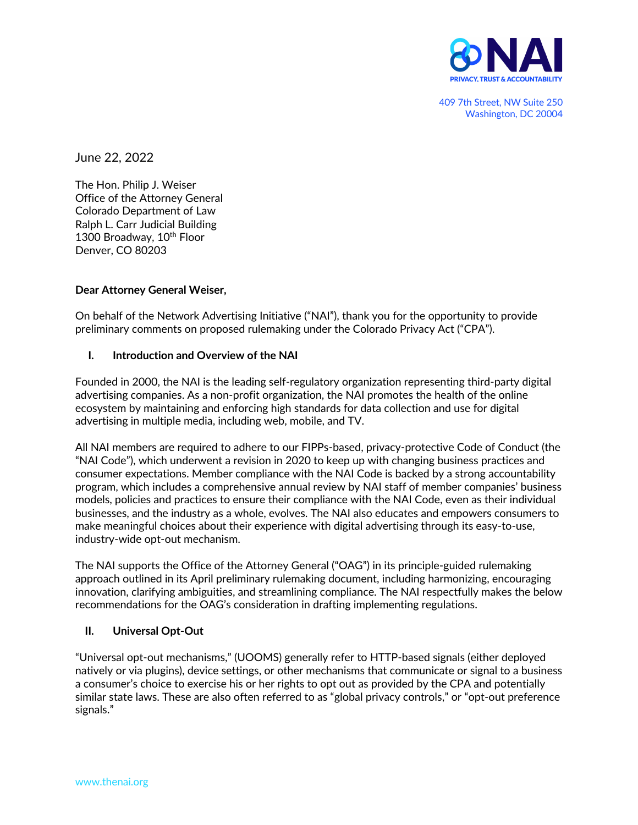

409 7th Street, NW Suite 250 Washington, DC 20004

June 22, 2022

The Hon. Philip J. Weiser Office of the Attorney General Colorado Department of Law Ralph L. Carr Judicial Building 1300 Broadway, 10<sup>th</sup> Floor Denver, CO 80203

### **Dear Attorney General Weiser,**

On behalf of the Network Advertising Initiative ("NAI"), thank you for the opportunity to provide preliminary comments on proposed rulemaking under the Colorado Privacy Act ("CPA").

### **I. Introduction and Overview of the NAI**

Founded in 2000, the NAI is the leading self-regulatory organization representing third-party digital advertising companies. As a non-profit organization, the NAI promotes the health of the online ecosystem by maintaining and enforcing high standards for data collection and use for digital advertising in multiple media, including web, mobile, and TV.

All NAI members are required to adhere to our FIPPs-based, privacy-protective Code of Conduct (the "NAI Code"), which underwent a revision in 2020 to keep up with changing business practices and consumer expectations. Member compliance with the NAI Code is backed by a strong accountability program, which includes a comprehensive annual review by NAI staff of member companies' business models, policies and practices to ensure their compliance with the NAI Code, even as their individual businesses, and the industry as a whole, evolves. The NAI also educates and empowers consumers to make meaningful choices about their experience with digital advertising through its easy-to-use, industry-wide opt-out mechanism.

The NAI supports the Office of the Attorney General ("OAG") in its principle-guided rulemaking approach outlined in its April preliminary rulemaking document, including harmonizing, encouraging innovation, clarifying ambiguities, and streamlining compliance. The NAI respectfully makes the below recommendations for the OAG's consideration in drafting implementing regulations.

#### **II. Universal Opt-Out**

"Universal opt-out mechanisms," (UOOMS) generally refer to HTTP-based signals (either deployed natively or via plugins), device settings, or other mechanisms that communicate or signal to a business a consumer's choice to exercise his or her rights to opt out as provided by the CPA and potentially similar state laws. These are also often referred to as "global privacy controls," or "opt-out preference signals."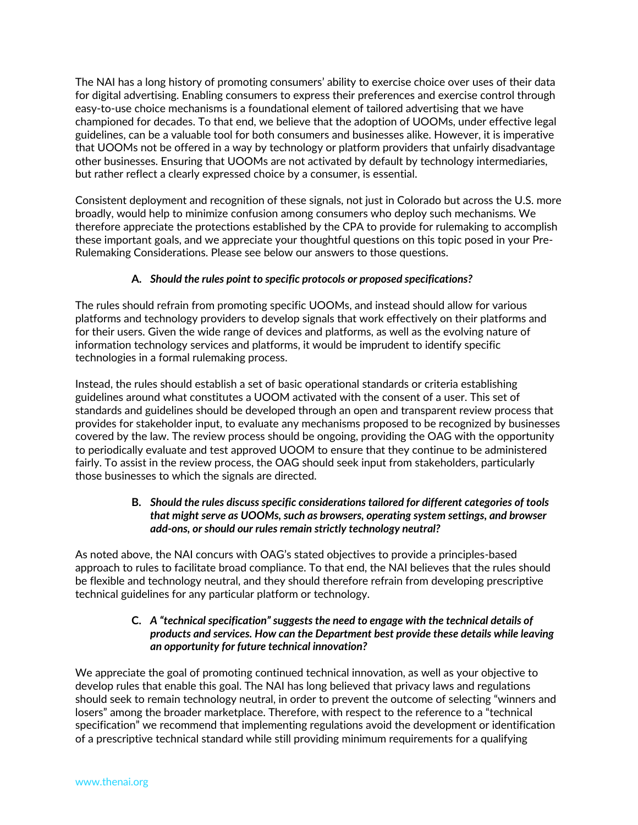The NAI has a long history of promoting consumers' ability to exercise choice over uses of their data for digital advertising. Enabling consumers to express their preferences and exercise control through easy-to-use choice mechanisms is a foundational element of tailored advertising that we have championed for decades. To that end, we believe that the adoption of UOOMs, under effective legal guidelines, can be a valuable tool for both consumers and businesses alike. However, it is imperative that UOOMs not be offered in a way by technology or platform providers that unfairly disadvantage other businesses. Ensuring that UOOMs are not activated by default by technology intermediaries, but rather reflect a clearly expressed choice by a consumer, is essential.

Consistent deployment and recognition of these signals, not just in Colorado but across the U.S. more broadly, would help to minimize confusion among consumers who deploy such mechanisms. We therefore appreciate the protections established by the CPA to provide for rulemaking to accomplish these important goals, and we appreciate your thoughtful questions on this topic posed in your Pre-Rulemaking Considerations. Please see below our answers to those questions.

# **A.** *Should the rules point to specific protocols or proposed specifications?*

The rules should refrain from promoting specific UOOMs, and instead should allow for various platforms and technology providers to develop signals that work effectively on their platforms and for their users. Given the wide range of devices and platforms, as well as the evolving nature of information technology services and platforms, it would be imprudent to identify specific technologies in a formal rulemaking process.

Instead, the rules should establish a set of basic operational standards or criteria establishing guidelines around what constitutes a UOOM activated with the consent of a user. This set of standards and guidelines should be developed through an open and transparent review process that provides for stakeholder input, to evaluate any mechanisms proposed to be recognized by businesses covered by the law. The review process should be ongoing, providing the OAG with the opportunity to periodically evaluate and test approved UOOM to ensure that they continue to be administered fairly. To assist in the review process, the OAG should seek input from stakeholders, particularly those businesses to which the signals are directed.

## **B.** *Should the rules discuss specific considerations tailored for different categories of tools that might serve as UOOMs, such as browsers, operating system settings, and browser add-ons, or should our rules remain strictly technology neutral?*

As noted above, the NAI concurs with OAG's stated objectives to provide a principles-based approach to rules to facilitate broad compliance. To that end, the NAI believes that the rules should be flexible and technology neutral, and they should therefore refrain from developing prescriptive technical guidelines for any particular platform or technology.

## **C.** *A "technical specification" suggests the need to engage with the technical details of products and services. How can the Department best provide these details while leaving an opportunity for future technical innovation?*

We appreciate the goal of promoting continued technical innovation, as well as your objective to develop rules that enable this goal. The NAI has long believed that privacy laws and regulations should seek to remain technology neutral, in order to prevent the outcome of selecting "winners and losers" among the broader marketplace. Therefore, with respect to the reference to a "technical specification" we recommend that implementing regulations avoid the development or identification of a prescriptive technical standard while still providing minimum requirements for a qualifying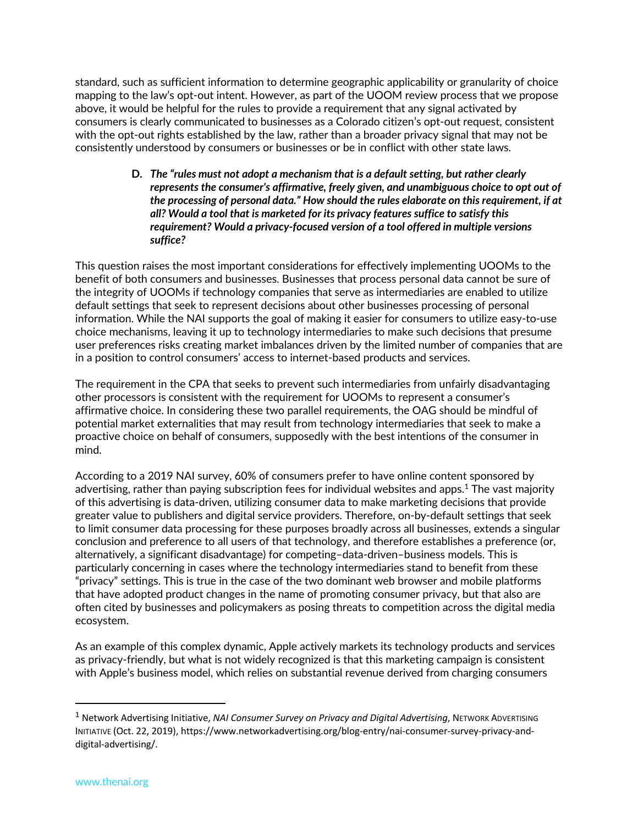standard, such as sufficient information to determine geographic applicability or granularity of choice mapping to the law's opt-out intent. However, as part of the UOOM review process that we propose above, it would be helpful for the rules to provide a requirement that any signal activated by consumers is clearly communicated to businesses as a Colorado citizen's opt-out request, consistent with the opt-out rights established by the law, rather than a broader privacy signal that may not be consistently understood by consumers or businesses or be in conflict with other state laws.

> **D.** *The "rules must not adopt a mechanism that is a default setting, but rather clearly represents the consumer's affirmative, freely given, and unambiguous choice to opt out of the processing of personal data." How should the rules elaborate on this requirement, if at all? Would a tool that is marketed for its privacy features suffice to satisfy this requirement? Would a privacy-focused version of a tool offered in multiple versions suffice?*

This question raises the most important considerations for effectively implementing UOOMs to the benefit of both consumers and businesses. Businesses that process personal data cannot be sure of the integrity of UOOMs if technology companies that serve as intermediaries are enabled to utilize default settings that seek to represent decisions about other businesses processing of personal information. While the NAI supports the goal of making it easier for consumers to utilize easy-to-use choice mechanisms, leaving it up to technology intermediaries to make such decisions that presume user preferences risks creating market imbalances driven by the limited number of companies that are in a position to control consumers' access to internet-based products and services.

The requirement in the CPA that seeks to prevent such intermediaries from unfairly disadvantaging other processors is consistent with the requirement for UOOMs to represent a consumer's affirmative choice. In considering these two parallel requirements, the OAG should be mindful of potential market externalities that may result from technology intermediaries that seek to make a proactive choice on behalf of consumers, supposedly with the best intentions of the consumer in mind.

According to a 2019 NAI survey, 60% of consumers prefer to have online content sponsored by advertising, rather than paying subscription fees for individual websites and apps.<sup>1</sup> The vast majority of this advertising is data-driven, utilizing consumer data to make marketing decisions that provide greater value to publishers and digital service providers. Therefore, on-by-default settings that seek to limit consumer data processing for these purposes broadly across all businesses, extends a singular conclusion and preference to all users of that technology, and therefore establishes a preference (or, alternatively, a significant disadvantage) for competing–data-driven–business models. This is particularly concerning in cases where the technology intermediaries stand to benefit from these "privacy" settings. This is true in the case of the two dominant web browser and mobile platforms that have adopted product changes in the name of promoting consumer privacy, but that also are often cited by businesses and policymakers as posing threats to competition across the digital media ecosystem.

As an example of this complex dynamic, Apple actively markets its technology products and services as privacy-friendly, but what is not widely recognized is that this marketing campaign is consistent with Apple's business model, which relies on substantial revenue derived from charging consumers

<sup>1</sup> Network Advertising Initiative, *NAI Consumer Survey on Privacy and Digital Advertising*, NETWORK ADVERTISING INITIATIVE (Oct. 22, 2019), https://www.networkadvertising.org/blog-entry/nai-consumer-survey-privacy-anddigital-advertising/.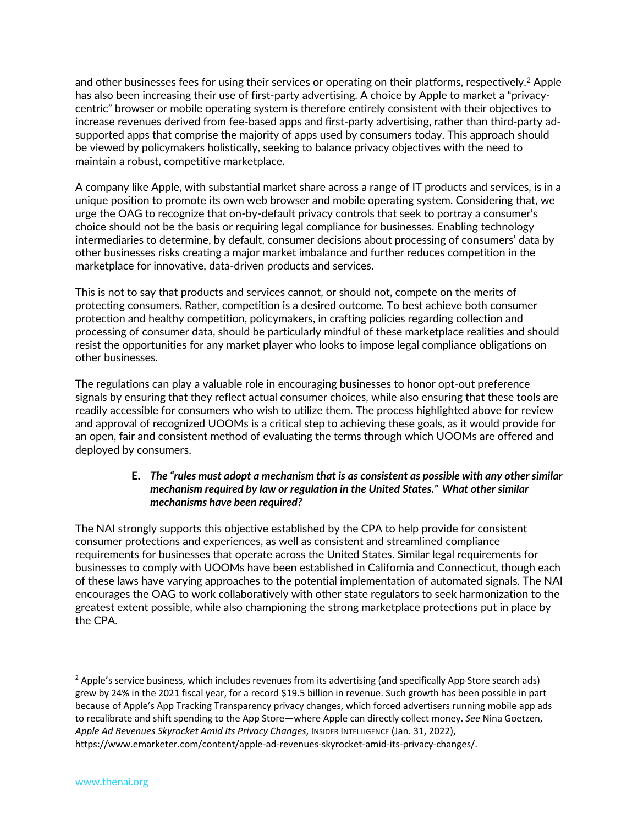and other businesses fees for using their services or operating on their platforms, respectively.<sup>2</sup> Apple has also been increasing their use of first-party advertising. A choice by Apple to market a "privacycentric" browser or mobile operating system is therefore entirely consistent with their objectives to increase revenues derived from fee-based apps and first-party advertising, rather than third-party adsupported apps that comprise the majority of apps used by consumers today. This approach should be viewed by policymakers holistically, seeking to balance privacy objectives with the need to maintain a robust, competitive marketplace.

A company like Apple, with substantial market share across a range of IT products and services, is in a unique position to promote its own web browser and mobile operating system. Considering that, we urge the OAG to recognize that on-by-default privacy controls that seek to portray a consumer's choice should not be the basis or requiring legal compliance for businesses. Enabling technology intermediaries to determine, by default, consumer decisions about processing of consumers' data by other businesses risks creating a major market imbalance and further reduces competition in the marketplace for innovative, data-driven products and services.

This is not to say that products and services cannot, or should not, compete on the merits of protecting consumers. Rather, competition is a desired outcome. To best achieve both consumer protection and healthy competition, policymakers, in crafting policies regarding collection and processing of consumer data, should be particularly mindful of these marketplace realities and should resist the opportunities for any market player who looks to impose legal compliance obligations on other businesses.

The regulations can play a valuable role in encouraging businesses to honor opt-out preference signals by ensuring that they reflect actual consumer choices, while also ensuring that these tools are readily accessible for consumers who wish to utilize them. The process highlighted above for review and approval of recognized UOOMs is a critical step to achieving these goals, as it would provide for an open, fair and consistent method of evaluating the terms through which UOOMs are offered and deployed by consumers.

#### **E.** *The "rules must adopt a mechanism that is as consistent as possible with any other similar mechanism required by law or regulation in the United States." What other similar mechanisms have been required?*

The NAI strongly supports this objective established by the CPA to help provide for consistent consumer protections and experiences, as well as consistent and streamlined compliance requirements for businesses that operate across the United States. Similar legal requirements for businesses to comply with UOOMs have been established in California and Connecticut, though each of these laws have varying approaches to the potential implementation of automated signals. The NAI encourages the OAG to work collaboratively with other state regulators to seek harmonization to the greatest extent possible, while also championing the strong marketplace protections put in place by the CPA.

<sup>&</sup>lt;sup>2</sup> Apple's service business, which includes revenues from its advertising (and specifically App Store search ads) grew by 24% in the 2021 fiscal year, for a record \$19.5 billion in revenue. Such growth has been possible in part because of Apple's App Tracking Transparency privacy changes, which forced advertisers running mobile app ads to recalibrate and shift spending to the App Store—where Apple can directly collect money. *See* Nina Goetzen, *Apple Ad Revenues Skyrocket Amid Its Privacy Changes*, INSIDER INTELLIGENCE (Jan. 31, 2022), https://www.emarketer.com/content/apple-ad-revenues-skyrocket-amid-its-privacy-changes/.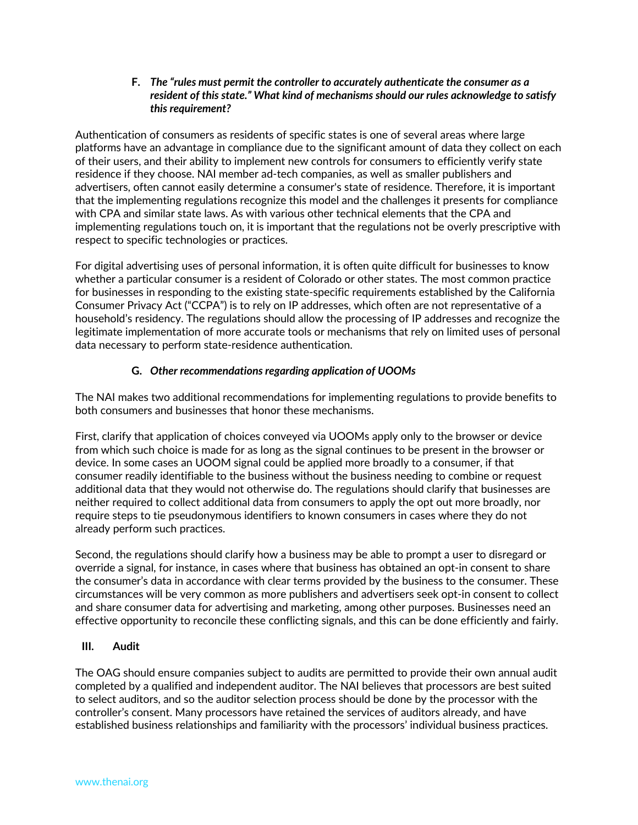#### **F.** *The "rules must permit the controller to accurately authenticate the consumer as a resident of this state." What kind of mechanisms should our rules acknowledge to satisfy this requirement?*

Authentication of consumers as residents of specific states is one of several areas where large platforms have an advantage in compliance due to the significant amount of data they collect on each of their users, and their ability to implement new controls for consumers to efficiently verify state residence if they choose. NAI member ad-tech companies, as well as smaller publishers and advertisers, often cannot easily determine a consumer's state of residence. Therefore, it is important that the implementing regulations recognize this model and the challenges it presents for compliance with CPA and similar state laws. As with various other technical elements that the CPA and implementing regulations touch on, it is important that the regulations not be overly prescriptive with respect to specific technologies or practices.

For digital advertising uses of personal information, it is often quite difficult for businesses to know whether a particular consumer is a resident of Colorado or other states. The most common practice for businesses in responding to the existing state-specific requirements established by the California Consumer Privacy Act ("CCPA") is to rely on IP addresses, which often are not representative of a household's residency. The regulations should allow the processing of IP addresses and recognize the legitimate implementation of more accurate tools or mechanisms that rely on limited uses of personal data necessary to perform state-residence authentication.

# **G.** *Other recommendations regarding application of UOOMs*

The NAI makes two additional recommendations for implementing regulations to provide benefits to both consumers and businesses that honor these mechanisms.

First, clarify that application of choices conveyed via UOOMs apply only to the browser or device from which such choice is made for as long as the signal continues to be present in the browser or device. In some cases an UOOM signal could be applied more broadly to a consumer, if that consumer readily identifiable to the business without the business needing to combine or request additional data that they would not otherwise do. The regulations should clarify that businesses are neither required to collect additional data from consumers to apply the opt out more broadly, nor require steps to tie pseudonymous identifiers to known consumers in cases where they do not already perform such practices.

Second, the regulations should clarify how a business may be able to prompt a user to disregard or override a signal, for instance, in cases where that business has obtained an opt-in consent to share the consumer's data in accordance with clear terms provided by the business to the consumer. These circumstances will be very common as more publishers and advertisers seek opt-in consent to collect and share consumer data for advertising and marketing, among other purposes. Businesses need an effective opportunity to reconcile these conflicting signals, and this can be done efficiently and fairly.

## **III. Audit**

The OAG should ensure companies subject to audits are permitted to provide their own annual audit completed by a qualified and independent auditor. The NAI believes that processors are best suited to select auditors, and so the auditor selection process should be done by the processor with the controller's consent. Many processors have retained the services of auditors already, and have established business relationships and familiarity with the processors' individual business practices.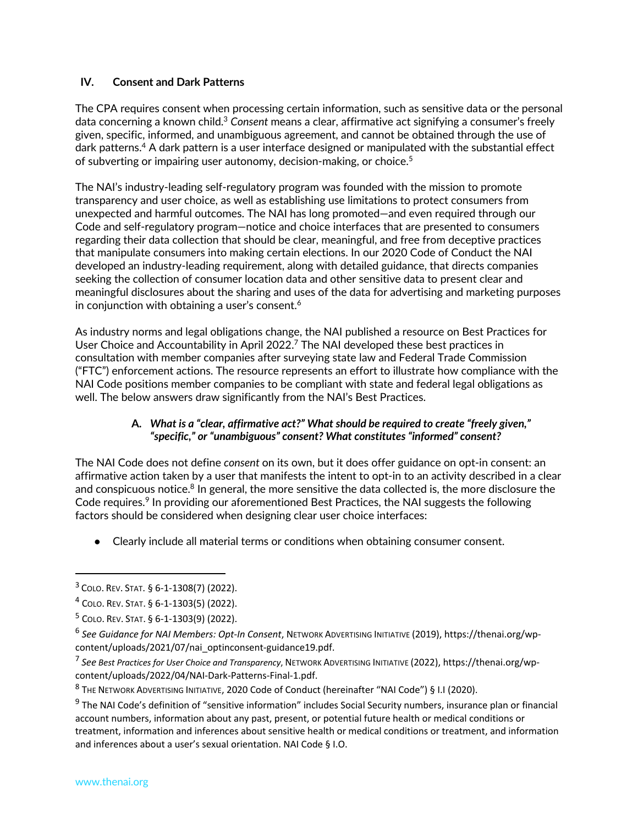### **IV. Consent and Dark Patterns**

The CPA requires consent when processing certain information, such as sensitive data or the personal data concerning a known child.3 *Consent* means a clear, affirmative act signifying a consumer's freely given, specific, informed, and unambiguous agreement, and cannot be obtained through the use of dark patterns.4 A dark pattern is a user interface designed or manipulated with the substantial effect of subverting or impairing user autonomy, decision-making, or choice.<sup>5</sup>

The NAI's industry-leading self-regulatory program was founded with the mission to promote transparency and user choice, as well as establishing use limitations to protect consumers from unexpected and harmful outcomes. The NAI has long promoted—and even required through our Code and self-regulatory program—notice and choice interfaces that are presented to consumers regarding their data collection that should be clear, meaningful, and free from deceptive practices that manipulate consumers into making certain elections. In our 2020 Code of Conduct the NAI developed an industry-leading requirement, along with detailed guidance, that directs companies seeking the collection of consumer location data and other sensitive data to present clear and meaningful disclosures about the sharing and uses of the data for advertising and marketing purposes in conjunction with obtaining a user's consent.<sup>6</sup>

As industry norms and legal obligations change, the NAI published a resource on Best Practices for User Choice and Accountability in April 2022.7 The NAI developed these best practices in consultation with member companies after surveying state law and Federal Trade Commission ("FTC") enforcement actions. The resource represents an effort to illustrate how compliance with the NAI Code positions member companies to be compliant with state and federal legal obligations as well. The below answers draw significantly from the NAI's Best Practices.

### **A.** *What is a "clear, affirmative act?" What should be required to create "freely given," "specific," or "unambiguous" consent? What constitutes "informed" consent?*

The NAI Code does not define *consent* on its own, but it does offer guidance on opt-in consent: an affirmative action taken by a user that manifests the intent to opt-in to an activity described in a clear and conspicuous notice.<sup>8</sup> In general, the more sensitive the data collected is, the more disclosure the Code requires.<sup>9</sup> In providing our aforementioned Best Practices, the NAI suggests the following factors should be considered when designing clear user choice interfaces:

● Clearly include all material terms or conditions when obtaining consumer consent.

<sup>3</sup> COLO. REV. STAT. § 6-1-1308(7) (2022).

<sup>4</sup> COLO. REV. STAT. § 6-1-1303(5) (2022).

<sup>5</sup> COLO. REV. STAT. § 6-1-1303(9) (2022).

<sup>6</sup> *See Guidance for NAI Members: Opt-In Consent*, NETWORK ADVERTISING INITIATIVE (2019), https://thenai.org/wpcontent/uploads/2021/07/nai\_optinconsent-guidance19.pdf.

<sup>7</sup> *See Best Practices for User Choice and Transparency*, NETWORK ADVERTISING INITIATIVE (2022), https://thenai.org/wpcontent/uploads/2022/04/NAI-Dark-Patterns-Final-1.pdf.

<sup>8</sup> THE NETWORK ADVERTISING INITIATIVE, 2020 Code of Conduct (hereinafter "NAI Code") § I.I (2020).

<sup>&</sup>lt;sup>9</sup> The NAI Code's definition of "sensitive information" includes Social Security numbers, insurance plan or financial account numbers, information about any past, present, or potential future health or medical conditions or treatment, information and inferences about sensitive health or medical conditions or treatment, and information and inferences about a user's sexual orientation. NAI Code § I.O.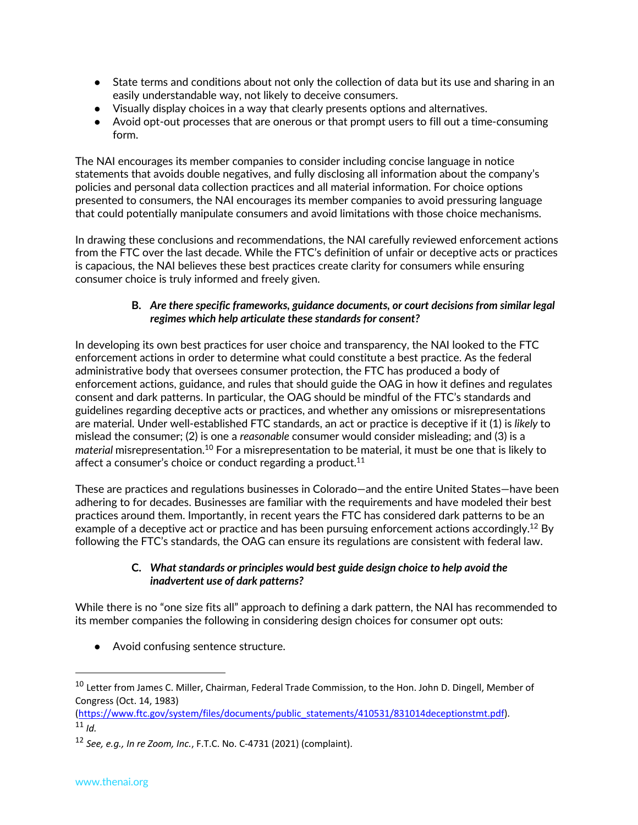- State terms and conditions about not only the collection of data but its use and sharing in an easily understandable way, not likely to deceive consumers.
- Visually display choices in a way that clearly presents options and alternatives.
- Avoid opt-out processes that are onerous or that prompt users to fill out a time-consuming form.

The NAI encourages its member companies to consider including concise language in notice statements that avoids double negatives, and fully disclosing all information about the company's policies and personal data collection practices and all material information. For choice options presented to consumers, the NAI encourages its member companies to avoid pressuring language that could potentially manipulate consumers and avoid limitations with those choice mechanisms.

In drawing these conclusions and recommendations, the NAI carefully reviewed enforcement actions from the FTC over the last decade. While the FTC's definition of unfair or deceptive acts or practices is capacious, the NAI believes these best practices create clarity for consumers while ensuring consumer choice is truly informed and freely given.

### **B.** *Are there specific frameworks, guidance documents, or court decisions from similar legal regimes which help articulate these standards for consent?*

In developing its own best practices for user choice and transparency, the NAI looked to the FTC enforcement actions in order to determine what could constitute a best practice. As the federal administrative body that oversees consumer protection, the FTC has produced a body of enforcement actions, guidance, and rules that should guide the OAG in how it defines and regulates consent and dark patterns. In particular, the OAG should be mindful of the FTC's standards and guidelines regarding deceptive acts or practices, and whether any omissions or misrepresentations are material. Under well-established FTC standards, an act or practice is deceptive if it (1) is *likely* to mislead the consumer; (2) is one a *reasonable* consumer would consider misleading; and (3) is a *material* misrepresentation.10 For a misrepresentation to be material, it must be one that is likely to affect a consumer's choice or conduct regarding a product.<sup>11</sup>

These are practices and regulations businesses in Colorado—and the entire United States—have been adhering to for decades. Businesses are familiar with the requirements and have modeled their best practices around them. Importantly, in recent years the FTC has considered dark patterns to be an example of a deceptive act or practice and has been pursuing enforcement actions accordingly.<sup>12</sup> By following the FTC's standards, the OAG can ensure its regulations are consistent with federal law.

## **C.** *What standards or principles would best guide design choice to help avoid the inadvertent use of dark patterns?*

While there is no "one size fits all" approach to defining a dark pattern, the NAI has recommended to its member companies the following in considering design choices for consumer opt outs:

● Avoid confusing sentence structure.

(https://www.ftc.gov/system/files/documents/public\_statements/410531/831014deceptionstmt.pdf).  $11$  *Id.* 

<sup>&</sup>lt;sup>10</sup> Letter from James C. Miller, Chairman, Federal Trade Commission, to the Hon. John D. Dingell, Member of Congress (Oct. 14, 1983)

<sup>12</sup> *See, e.g., In re Zoom, Inc.*, F.T.C. No. C-4731 (2021) (complaint).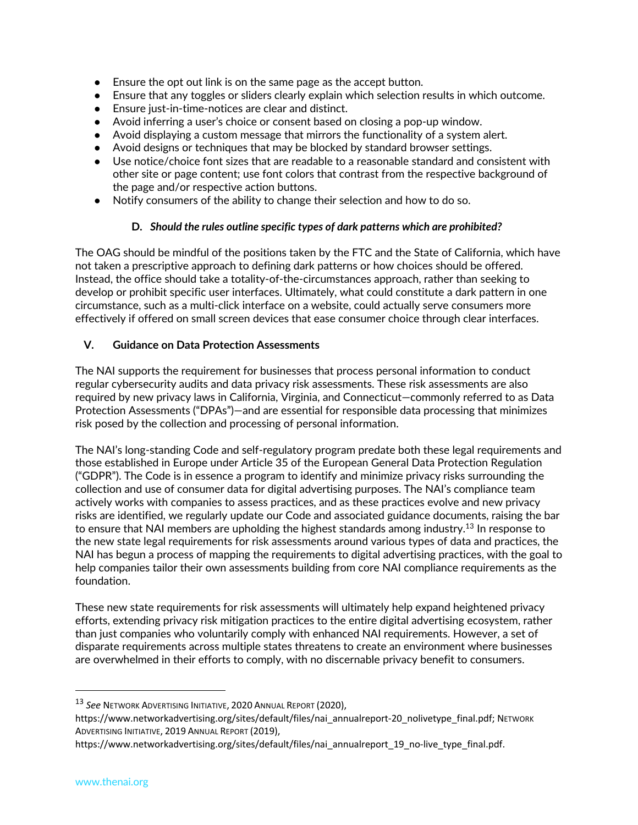- Ensure the opt out link is on the same page as the accept button.
- Ensure that any toggles or sliders clearly explain which selection results in which outcome.
- Ensure just-in-time-notices are clear and distinct.
- Avoid inferring a user's choice or consent based on closing a pop-up window.
- Avoid displaying a custom message that mirrors the functionality of a system alert.
- Avoid designs or techniques that may be blocked by standard browser settings.
- Use notice/choice font sizes that are readable to a reasonable standard and consistent with other site or page content; use font colors that contrast from the respective background of the page and/or respective action buttons.
- Notify consumers of the ability to change their selection and how to do so.

### **D.** *Should the rules outline specific types of dark patterns which are prohibited?*

The OAG should be mindful of the positions taken by the FTC and the State of California, which have not taken a prescriptive approach to defining dark patterns or how choices should be offered. Instead, the office should take a totality-of-the-circumstances approach, rather than seeking to develop or prohibit specific user interfaces. Ultimately, what could constitute a dark pattern in one circumstance, such as a multi-click interface on a website, could actually serve consumers more effectively if offered on small screen devices that ease consumer choice through clear interfaces.

### **V. Guidance on Data Protection Assessments**

The NAI supports the requirement for businesses that process personal information to conduct regular cybersecurity audits and data privacy risk assessments. These risk assessments are also required by new privacy laws in California, Virginia, and Connecticut—commonly referred to as Data Protection Assessments ("DPAs")—and are essential for responsible data processing that minimizes risk posed by the collection and processing of personal information.

The NAI's long-standing Code and self-regulatory program predate both these legal requirements and those established in Europe under Article 35 of the European General Data Protection Regulation ("GDPR"). The Code is in essence a program to identify and minimize privacy risks surrounding the collection and use of consumer data for digital advertising purposes. The NAI's compliance team actively works with companies to assess practices, and as these practices evolve and new privacy risks are identified, we regularly update our Code and associated guidance documents, raising the bar to ensure that NAI members are upholding the highest standards among industry.13 In response to the new state legal requirements for risk assessments around various types of data and practices, the NAI has begun a process of mapping the requirements to digital advertising practices, with the goal to help companies tailor their own assessments building from core NAI compliance requirements as the foundation.

These new state requirements for risk assessments will ultimately help expand heightened privacy efforts, extending privacy risk mitigation practices to the entire digital advertising ecosystem, rather than just companies who voluntarily comply with enhanced NAI requirements. However, a set of disparate requirements across multiple states threatens to create an environment where businesses are overwhelmed in their efforts to comply, with no discernable privacy benefit to consumers.

<sup>13</sup> *See* NETWORK ADVERTISING INITIATIVE, 2020 ANNUAL REPORT (2020),

https://www.networkadvertising.org/sites/default/files/nai\_annualreport-20\_nolivetype\_final.pdf; NETWORK ADVERTISING INITIATIVE, 2019 ANNUAL REPORT (2019),

https://www.networkadvertising.org/sites/default/files/nai\_annualreport\_19\_no-live\_type\_final.pdf.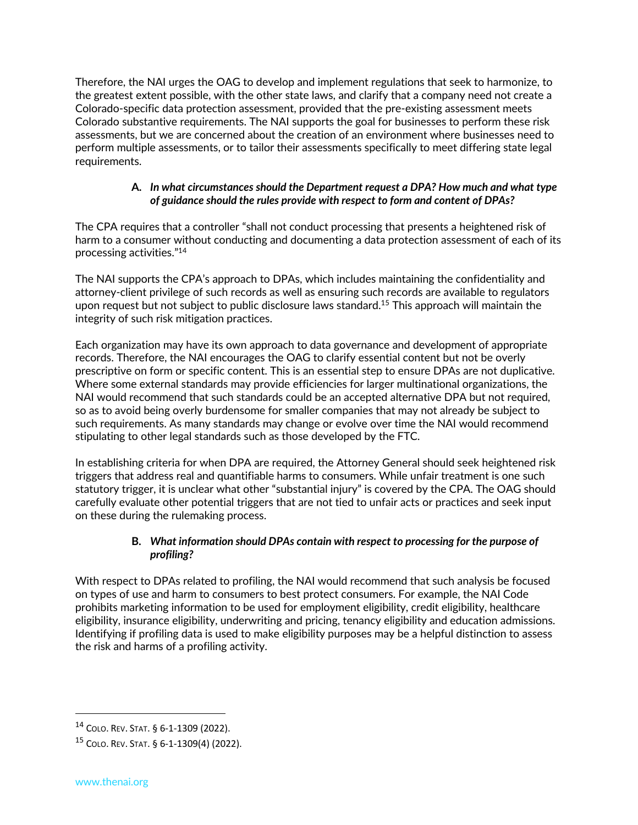Therefore, the NAI urges the OAG to develop and implement regulations that seek to harmonize, to the greatest extent possible, with the other state laws, and clarify that a company need not create a Colorado-specific data protection assessment, provided that the pre-existing assessment meets Colorado substantive requirements. The NAI supports the goal for businesses to perform these risk assessments, but we are concerned about the creation of an environment where businesses need to perform multiple assessments, or to tailor their assessments specifically to meet differing state legal requirements.

### **A.** *In what circumstances should the Department request a DPA? How much and what type of guidance should the rules provide with respect to form and content of DPAs?*

The CPA requires that a controller "shall not conduct processing that presents a heightened risk of harm to a consumer without conducting and documenting a data protection assessment of each of its processing activities."14

The NAI supports the CPA's approach to DPAs, which includes maintaining the confidentiality and attorney-client privilege of such records as well as ensuring such records are available to regulators upon request but not subject to public disclosure laws standard.15 This approach will maintain the integrity of such risk mitigation practices.

Each organization may have its own approach to data governance and development of appropriate records. Therefore, the NAI encourages the OAG to clarify essential content but not be overly prescriptive on form or specific content. This is an essential step to ensure DPAs are not duplicative. Where some external standards may provide efficiencies for larger multinational organizations, the NAI would recommend that such standards could be an accepted alternative DPA but not required, so as to avoid being overly burdensome for smaller companies that may not already be subject to such requirements. As many standards may change or evolve over time the NAI would recommend stipulating to other legal standards such as those developed by the FTC.

In establishing criteria for when DPA are required, the Attorney General should seek heightened risk triggers that address real and quantifiable harms to consumers. While unfair treatment is one such statutory trigger, it is unclear what other "substantial injury" is covered by the CPA. The OAG should carefully evaluate other potential triggers that are not tied to unfair acts or practices and seek input on these during the rulemaking process.

# **B.** *What information should DPAs contain with respect to processing for the purpose of profiling?*

With respect to DPAs related to profiling, the NAI would recommend that such analysis be focused on types of use and harm to consumers to best protect consumers. For example, the NAI Code prohibits marketing information to be used for employment eligibility, credit eligibility, healthcare eligibility, insurance eligibility, underwriting and pricing, tenancy eligibility and education admissions. Identifying if profiling data is used to make eligibility purposes may be a helpful distinction to assess the risk and harms of a profiling activity.

<sup>14</sup> COLO. REV. STAT. § 6-1-1309 (2022).

<sup>15</sup> COLO. REV. STAT. § 6-1-1309(4) (2022).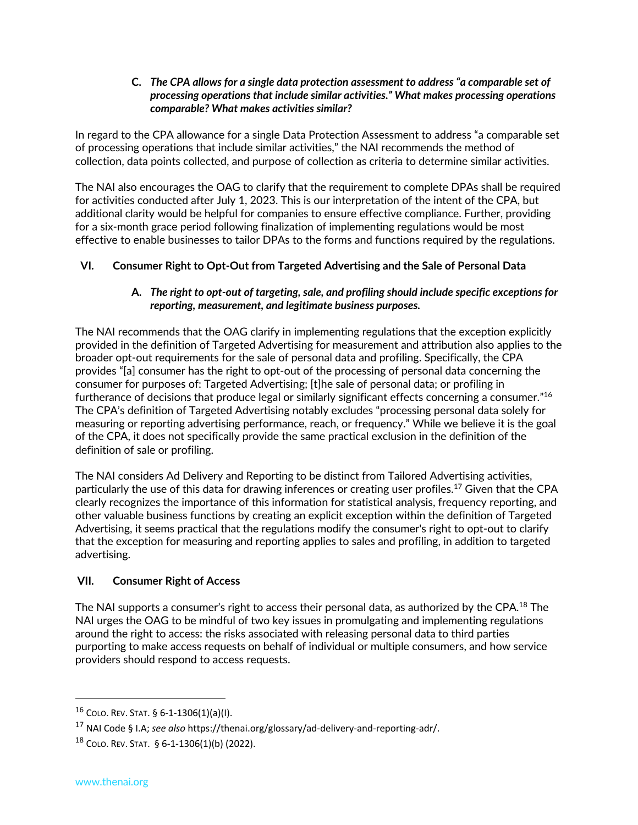#### **C.** *The CPA allows for a single data protection assessment to address "a comparable set of processing operations that include similar activities." What makes processing operations comparable? What makes activities similar?*

In regard to the CPA allowance for a single Data Protection Assessment to address "a comparable set of processing operations that include similar activities," the NAI recommends the method of collection, data points collected, and purpose of collection as criteria to determine similar activities.

The NAI also encourages the OAG to clarify that the requirement to complete DPAs shall be required for activities conducted after July 1, 2023. This is our interpretation of the intent of the CPA, but additional clarity would be helpful for companies to ensure effective compliance. Further, providing for a six-month grace period following finalization of implementing regulations would be most effective to enable businesses to tailor DPAs to the forms and functions required by the regulations.

# **VI. Consumer Right to Opt-Out from Targeted Advertising and the Sale of Personal Data**

### **A.** *The right to opt-out of targeting, sale, and profiling should include specific exceptions for reporting, measurement, and legitimate business purposes.*

The NAI recommends that the OAG clarify in implementing regulations that the exception explicitly provided in the definition of Targeted Advertising for measurement and attribution also applies to the broader opt-out requirements for the sale of personal data and profiling. Specifically, the CPA provides "[a] consumer has the right to opt-out of the processing of personal data concerning the consumer for purposes of: Targeted Advertising; [t]he sale of personal data; or profiling in furtherance of decisions that produce legal or similarly significant effects concerning a consumer."16 The CPA's definition of Targeted Advertising notably excludes "processing personal data solely for measuring or reporting advertising performance, reach, or frequency." While we believe it is the goal of the CPA, it does not specifically provide the same practical exclusion in the definition of the definition of sale or profiling.

The NAI considers Ad Delivery and Reporting to be distinct from Tailored Advertising activities, particularly the use of this data for drawing inferences or creating user profiles.<sup>17</sup> Given that the CPA clearly recognizes the importance of this information for statistical analysis, frequency reporting, and other valuable business functions by creating an explicit exception within the definition of Targeted Advertising, it seems practical that the regulations modify the consumer's right to opt-out to clarify that the exception for measuring and reporting applies to sales and profiling, in addition to targeted advertising.

## **VII. Consumer Right of Access**

The NAI supports a consumer's right to access their personal data, as authorized by the CPA.<sup>18</sup> The NAI urges the OAG to be mindful of two key issues in promulgating and implementing regulations around the right to access: the risks associated with releasing personal data to third parties purporting to make access requests on behalf of individual or multiple consumers, and how service providers should respond to access requests.

<sup>16</sup> COLO. REV. STAT. § 6-1-1306(1)(a)(I).

<sup>17</sup> NAI Code § I.A; *see also* https://thenai.org/glossary/ad-delivery-and-reporting-adr/.

 $18$  COLO. REV. STAT. § 6-1-1306(1)(b) (2022).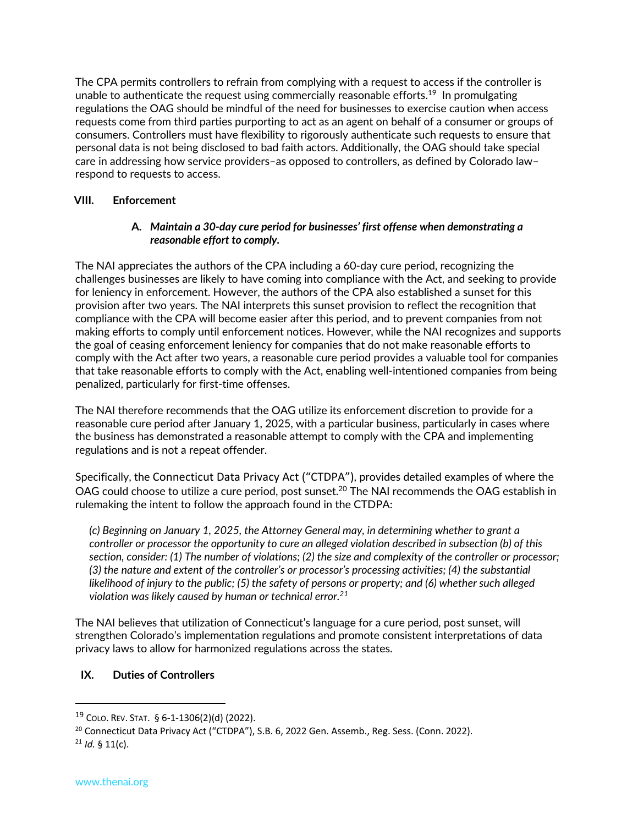The CPA permits controllers to refrain from complying with a request to access if the controller is unable to authenticate the request using commercially reasonable efforts.<sup>19</sup> In promulgating regulations the OAG should be mindful of the need for businesses to exercise caution when access requests come from third parties purporting to act as an agent on behalf of a consumer or groups of consumers. Controllers must have flexibility to rigorously authenticate such requests to ensure that personal data is not being disclosed to bad faith actors. Additionally, the OAG should take special care in addressing how service providers–as opposed to controllers, as defined by Colorado law– respond to requests to access.

### **VIII. Enforcement**

### **A.** *Maintain a 30-day cure period for businesses' first offense when demonstrating a reasonable effort to comply.*

The NAI appreciates the authors of the CPA including a 60-day cure period, recognizing the challenges businesses are likely to have coming into compliance with the Act, and seeking to provide for leniency in enforcement. However, the authors of the CPA also established a sunset for this provision after two years. The NAI interprets this sunset provision to reflect the recognition that compliance with the CPA will become easier after this period, and to prevent companies from not making efforts to comply until enforcement notices. However, while the NAI recognizes and supports the goal of ceasing enforcement leniency for companies that do not make reasonable efforts to comply with the Act after two years, a reasonable cure period provides a valuable tool for companies that take reasonable efforts to comply with the Act, enabling well-intentioned companies from being penalized, particularly for first-time offenses.

The NAI therefore recommends that the OAG utilize its enforcement discretion to provide for a reasonable cure period after January 1, 2025, with a particular business, particularly in cases where the business has demonstrated a reasonable attempt to comply with the CPA and implementing regulations and is not a repeat offender.

Specifically, the Connecticut Data Privacy Act ("CTDPA"), provides detailed examples of where the OAG could choose to utilize a cure period, post sunset.<sup>20</sup> The NAI recommends the OAG establish in rulemaking the intent to follow the approach found in the CTDPA:

*(c) Beginning on January 1, 2025, the Attorney General may, in determining whether to grant a controller or processor the opportunity to cure an alleged violation described in subsection (b) of this section, consider: (1) The number of violations; (2) the size and complexity of the controller or processor; (3) the nature and extent of the controller's or processor's processing activities; (4) the substantial likelihood of injury to the public; (5) the safety of persons or property; and (6) whether such alleged violation was likely caused by human or technical error.21*

The NAI believes that utilization of Connecticut's language for a cure period, post sunset, will strengthen Colorado's implementation regulations and promote consistent interpretations of data privacy laws to allow for harmonized regulations across the states.

#### **IX. Duties of Controllers**

<sup>19</sup> COLO. REV. STAT. § 6-1-1306(2)(d) (2022).

<sup>&</sup>lt;sup>20</sup> Connecticut Data Privacy Act ("CTDPA"), S.B. 6, 2022 Gen. Assemb., Reg. Sess. (Conn. 2022).

<sup>21</sup> *Id.* § 11(c).